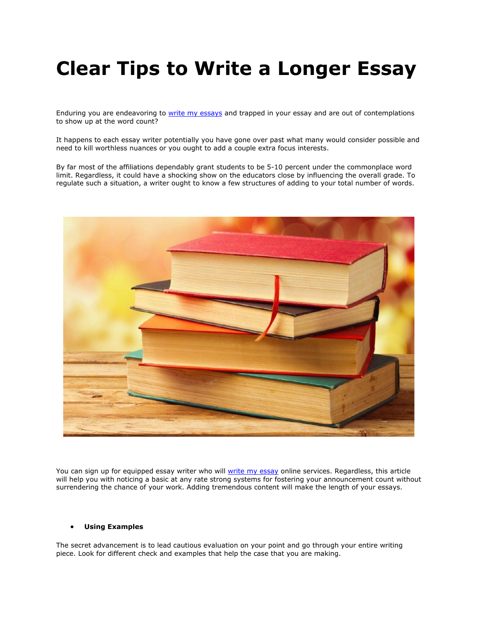# **Clear Tips to Write a Longer Essay**

Enduring you are endeavoring to [write my essays](https://writemyessayfast.net/) and trapped in your essay and are out of contemplations to show up at the word count?

It happens to each essay writer potentially you have gone over past what many would consider possible and need to kill worthless nuances or you ought to add a couple extra focus interests.

By far most of the affiliations dependably grant students to be 5-10 percent under the commonplace word limit. Regardless, it could have a shocking show on the educators close by influencing the overall grade. To regulate such a situation, a writer ought to know a few structures of adding to your total number of words.



You can sign up for equipped essay writer who will [write my essay](https://writemyessayfast.net/) online services. Regardless, this article will help you with noticing a basic at any rate strong systems for fostering your announcement count without surrendering the chance of your work. Adding tremendous content will make the length of your essays.

#### • **Using Examples**

The secret advancement is to lead cautious evaluation on your point and go through your entire writing piece. Look for different check and examples that help the case that you are making.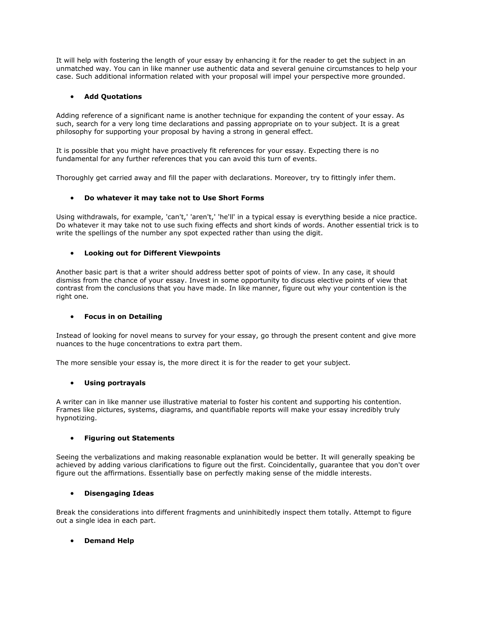It will help with fostering the length of your essay by enhancing it for the reader to get the subject in an unmatched way. You can in like manner use authentic data and several genuine circumstances to help your case. Such additional information related with your proposal will impel your perspective more grounded.

## • **Add Quotations**

Adding reference of a significant name is another technique for expanding the content of your essay. As such, search for a very long time declarations and passing appropriate on to your subject. It is a great philosophy for supporting your proposal by having a strong in general effect.

It is possible that you might have proactively fit references for your essay. Expecting there is no fundamental for any further references that you can avoid this turn of events.

Thoroughly get carried away and fill the paper with declarations. Moreover, try to fittingly infer them.

## • **Do whatever it may take not to Use Short Forms**

Using withdrawals, for example, 'can't,' 'aren't,' 'he'll' in a typical essay is everything beside a nice practice. Do whatever it may take not to use such fixing effects and short kinds of words. Another essential trick is to write the spellings of the number any spot expected rather than using the digit.

## • **Looking out for Different Viewpoints**

Another basic part is that a writer should address better spot of points of view. In any case, it should dismiss from the chance of your essay. Invest in some opportunity to discuss elective points of view that contrast from the conclusions that you have made. In like manner, figure out why your contention is the right one.

## • **Focus in on Detailing**

Instead of looking for novel means to survey for your essay, go through the present content and give more nuances to the huge concentrations to extra part them.

The more sensible your essay is, the more direct it is for the reader to get your subject.

### • **Using portrayals**

A writer can in like manner use illustrative material to foster his content and supporting his contention. Frames like pictures, systems, diagrams, and quantifiable reports will make your essay incredibly truly hypnotizing.

### • **Figuring out Statements**

Seeing the verbalizations and making reasonable explanation would be better. It will generally speaking be achieved by adding various clarifications to figure out the first. Coincidentally, guarantee that you don't over figure out the affirmations. Essentially base on perfectly making sense of the middle interests.

### • **Disengaging Ideas**

Break the considerations into different fragments and uninhibitedly inspect them totally. Attempt to figure out a single idea in each part.

### • **Demand Help**